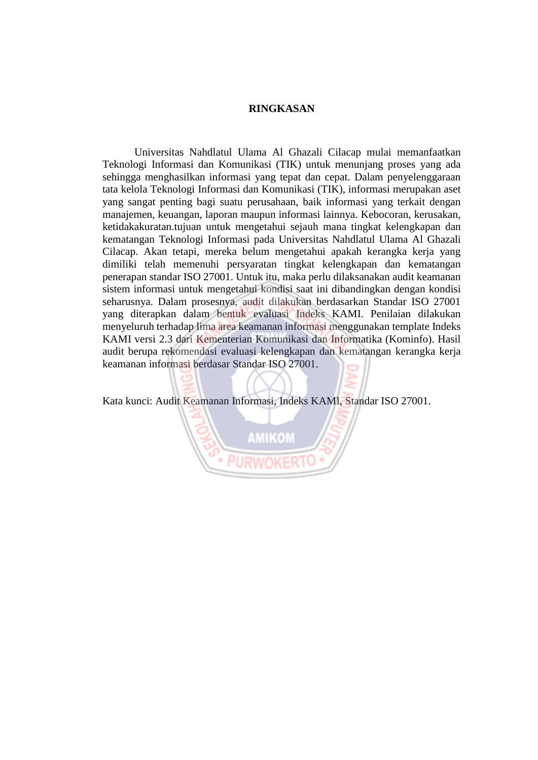## **RINGKASAN**

Universitas Nahdlatul Ulama Al Ghazali Cilacap mulai memanfaatkan Teknologi Informasi dan Komunikasi (TIK) untuk menunjang proses yang ada sehingga menghasilkan informasi yang tepat dan cepat. Dalam penyelenggaraan tata kelola Teknologi Informasi dan Komunikasi (TIK), informasi merupakan aset yang sangat penting bagi suatu perusahaan, baik informasi yang terkait dengan manajemen, keuangan, laporan maupun informasi lainnya. Kebocoran, kerusakan, ketidakakuratan.tujuan untuk mengetahui sejauh mana tingkat kelengkapan dan kematangan Teknologi Informasi pada Universitas Nahdlatul Ulama Al Ghazali Cilacap. Akan tetapi, mereka belum mengetahui apakah kerangka kerja yang dimiliki telah memenuhi persyaratan tingkat kelengkapan dan kematangan penerapan standar ISO 27001. Untuk itu, maka perlu dilaksanakan audit keamanan sistem informasi untuk mengetahui kondisi saat ini dibandingkan dengan kondisi seharusnya. Dalam prosesnya, audit dilakukan berdasarkan Standar ISO 27001 yang diterapkan dalam bentuk evaluasi Indeks KAMI. Penilaian dilakukan menyeluruh terhadap lima area keamanan informasi menggunakan template Indeks KAMI versi 2.3 dari Kementerian Komunikasi dan Informatika (Kominfo). Hasil audit berupa rekomendasi evaluasi kelengkapan dan kematangan kerangka kerja keamanan informasi berdasar Standar ISO 27001.

Kata kunci: Audit Keamanan Informasi, Indeks KAMI, Standar ISO 27001.

**AMIKOM**